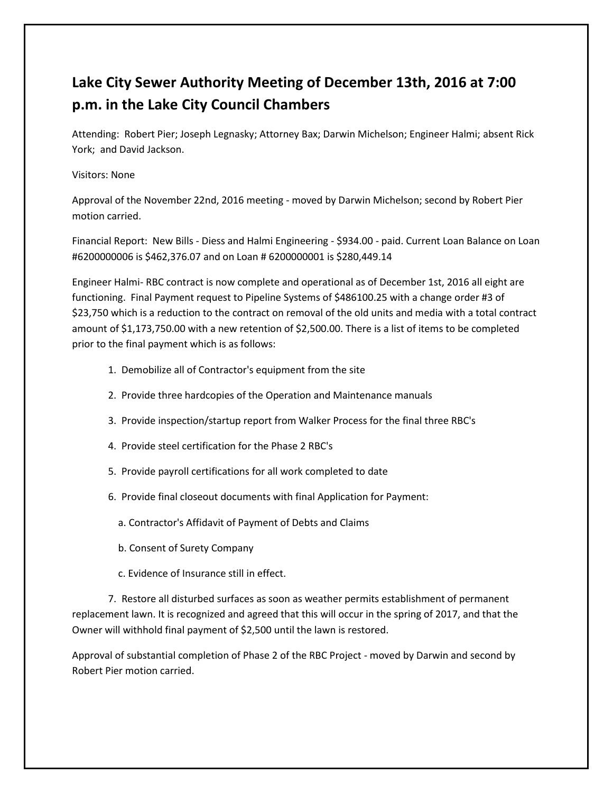## **Lake City Sewer Authority Meeting of December 13th, 2016 at 7:00 p.m. in the Lake City Council Chambers**

Attending: Robert Pier; Joseph Legnasky; Attorney Bax; Darwin Michelson; Engineer Halmi; absent Rick York; and David Jackson.

## Visitors: None

Approval of the November 22nd, 2016 meeting - moved by Darwin Michelson; second by Robert Pier motion carried.

Financial Report: New Bills - Diess and Halmi Engineering - \$934.00 - paid. Current Loan Balance on Loan #6200000006 is \$462,376.07 and on Loan # 6200000001 is \$280,449.14

Engineer Halmi- RBC contract is now complete and operational as of December 1st, 2016 all eight are functioning. Final Payment request to Pipeline Systems of \$486100.25 with a change order #3 of \$23,750 which is a reduction to the contract on removal of the old units and media with a total contract amount of \$1,173,750.00 with a new retention of \$2,500.00. There is a list of items to be completed prior to the final payment which is as follows:

- 1. Demobilize all of Contractor's equipment from the site
- 2. Provide three hardcopies of the Operation and Maintenance manuals
- 3. Provide inspection/startup report from Walker Process for the final three RBC's
- 4. Provide steel certification for the Phase 2 RBC's
- 5. Provide payroll certifications for all work completed to date
- 6. Provide final closeout documents with final Application for Payment:
	- a. Contractor's Affidavit of Payment of Debts and Claims
	- b. Consent of Surety Company
	- c. Evidence of Insurance still in effect.

7. Restore all disturbed surfaces as soon as weather permits establishment of permanent replacement lawn. It is recognized and agreed that this will occur in the spring of 2017, and that the Owner will withhold final payment of \$2,500 until the lawn is restored.

Approval of substantial completion of Phase 2 of the RBC Project - moved by Darwin and second by Robert Pier motion carried.